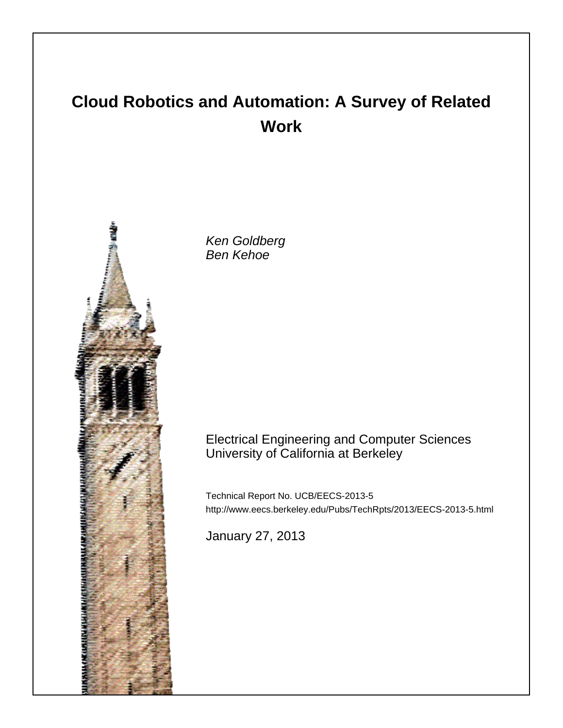# **Cloud Robotics and Automation: A Survey of Related Work**



Ken Goldberg Ben Kehoe

# Electrical Engineering and Computer Sciences University of California at Berkeley

Technical Report No. UCB/EECS-2013-5 http://www.eecs.berkeley.edu/Pubs/TechRpts/2013/EECS-2013-5.html

January 27, 2013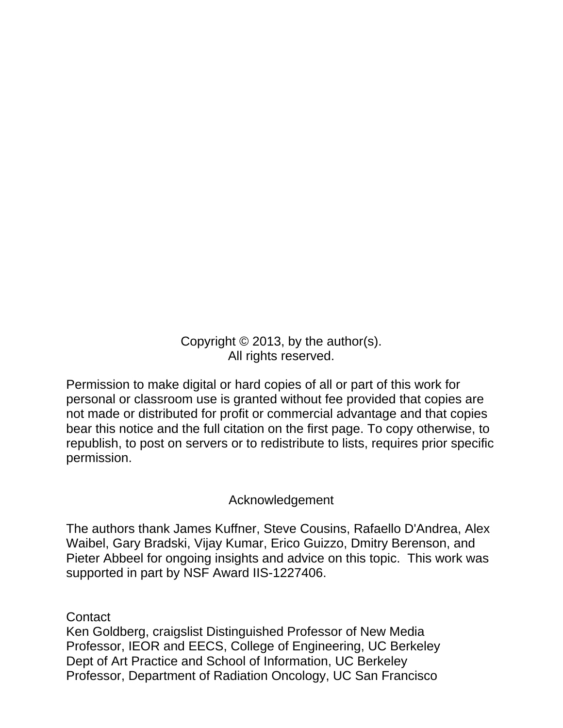Copyright © 2013, by the author(s). All rights reserved.

Permission to make digital or hard copies of all or part of this work for personal or classroom use is granted without fee provided that copies are not made or distributed for profit or commercial advantage and that copies bear this notice and the full citation on the first page. To copy otherwise, to republish, to post on servers or to redistribute to lists, requires prior specific permission.

# Acknowledgement

The authors thank James Kuffner, Steve Cousins, Rafaello D'Andrea, Alex Waibel, Gary Bradski, Vijay Kumar, Erico Guizzo, Dmitry Berenson, and Pieter Abbeel for ongoing insights and advice on this topic. This work was supported in part by NSF Award IIS-1227406.

**Contact** 

Ken Goldberg, craigslist Distinguished Professor of New Media Professor, IEOR and EECS, College of Engineering, UC Berkeley Dept of Art Practice and School of Information, UC Berkeley Professor, Department of Radiation Oncology, UC San Francisco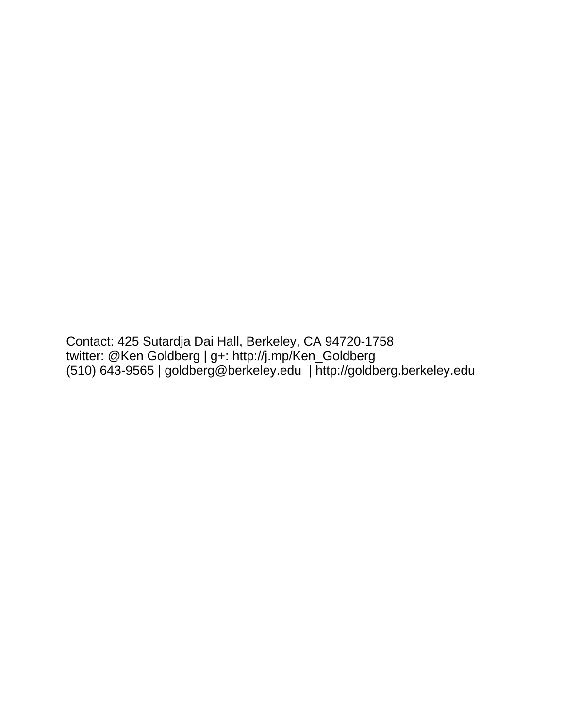Contact: 425 Sutardja Dai Hall, Berkeley, CA 94720-1758 twitter: @Ken Goldberg | g+: http://j.mp/Ken\_Goldberg (510) 643-9565 | goldberg@berkeley.edu | http://goldberg.berkeley.edu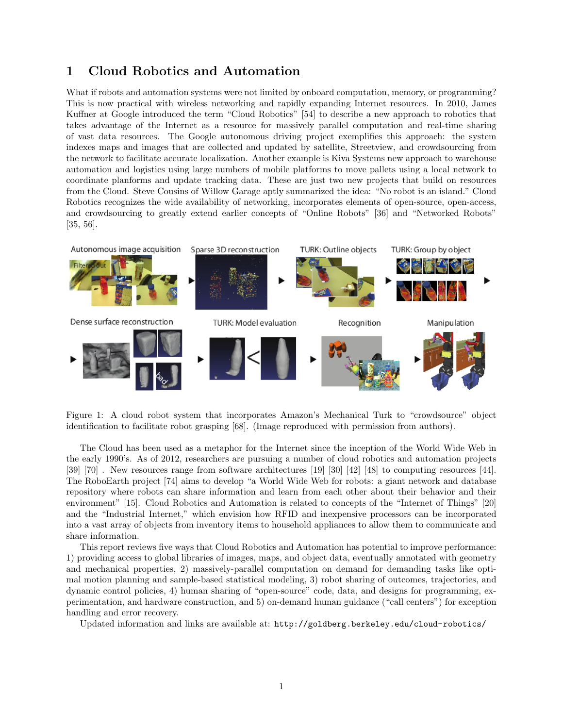### 1 Cloud Robotics and Automation

What if robots and automation systems were not limited by onboard computation, memory, or programming? This is now practical with wireless networking and rapidly expanding Internet resources. In 2010, James Kuffner at Google introduced the term "Cloud Robotics" [54] to describe a new approach to robotics that takes advantage of the Internet as a resource for massively parallel computation and real-time sharing of vast data resources. The Google autonomous driving project exemplifies this approach: the system indexes maps and images that are collected and updated by satellite, Streetview, and crowdsourcing from the network to facilitate accurate localization. Another example is Kiva Systems new approach to warehouse automation and logistics using large numbers of mobile platforms to move pallets using a local network to coordinate planforms and update tracking data. These are just two new projects that build on resources from the Cloud. Steve Cousins of Willow Garage aptly summarized the idea: "No robot is an island." Cloud Robotics recognizes the wide availability of networking, incorporates elements of open-source, open-access, and crowdsourcing to greatly extend earlier concepts of "Online Robots" [36] and "Networked Robots" [35, 56].



Figure 1: A cloud robot system that incorporates Amazon's Mechanical Turk to "crowdsource" object identification to facilitate robot grasping [68]. (Image reproduced with permission from authors).

The Cloud has been used as a metaphor for the Internet since the inception of the World Wide Web in the early 1990's. As of 2012, researchers are pursuing a number of cloud robotics and automation projects [39] [70] . New resources range from software architectures [19] [30] [42] [48] to computing resources [44]. The RoboEarth project [74] aims to develop "a World Wide Web for robots: a giant network and database repository where robots can share information and learn from each other about their behavior and their environment" [15]. Cloud Robotics and Automation is related to concepts of the "Internet of Things" [20] and the "Industrial Internet," which envision how RFID and inexpensive processors can be incorporated into a vast array of objects from inventory items to household appliances to allow them to communicate and share information.

This report reviews five ways that Cloud Robotics and Automation has potential to improve performance: 1) providing access to global libraries of images, maps, and object data, eventually annotated with geometry and mechanical properties, 2) massively-parallel computation on demand for demanding tasks like optimal motion planning and sample-based statistical modeling, 3) robot sharing of outcomes, trajectories, and dynamic control policies, 4) human sharing of "open-source" code, data, and designs for programming, experimentation, and hardware construction, and 5) on-demand human guidance ("call centers") for exception handling and error recovery.

Updated information and links are available at: http://goldberg.berkeley.edu/cloud-robotics/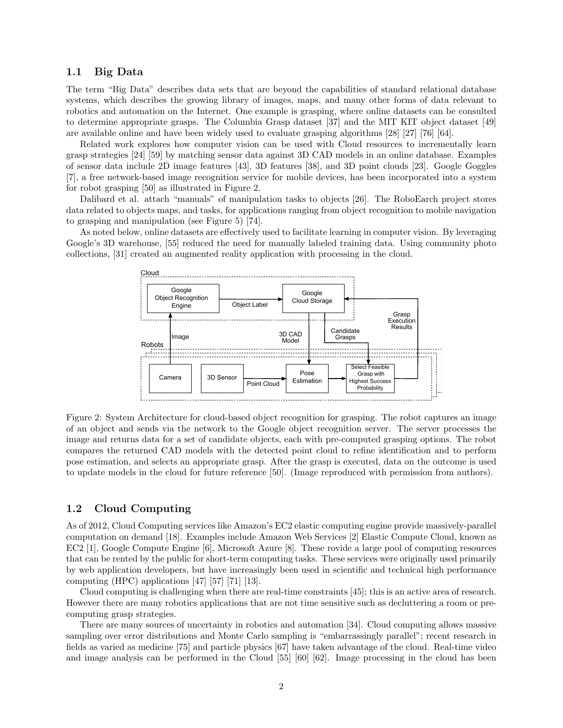#### 1.1 Big Data

The term "Big Data" describes data sets that are beyond the capabilities of standard relational database systems, which describes the growing library of images, maps, and many other forms of data relevant to robotics and automation on the Internet. One example is grasping, where online datasets can be consulted to determine appropriate grasps. The Columbia Grasp dataset [37] and the MIT KIT object dataset [49] are available online and have been widely used to evaluate grasping algorithms [28] [27] [76] [64].

Related work explores how computer vision can be used with Cloud resources to incrementally learn grasp strategies [24] [59] by matching sensor data against 3D CAD models in an online database. Examples of sensor data include 2D image features [43], 3D features [38], and 3D point clouds [23]. Google Goggles [7], a free network-based image recognition service for mobile devices, has been incorporated into a system for robot grasping [50] as illustrated in Figure 2.

Dalibard et al. attach "manuals" of manipulation tasks to objects [26]. The RoboEarch project stores data related to objects maps, and tasks, for applications ranging from object recognition to mobile navigation to grasping and manipulation (see Figure 5) [74].

As noted below, online datasets are effectively used to facilitate learning in computer vision. By leveraging Google's 3D warehouse, [55] reduced the need for manually labeled training data. Using community photo collections, [31] created an augmented reality application with processing in the cloud.



Figure 2: System Architecture for cloud-based object recognition for grasping. The robot captures an image of an object and sends via the network to the Google object recognition server. The server processes the image and returns data for a set of candidate objects, each with pre-computed grasping options. The robot compares the returned CAD models with the detected point cloud to refine identification and to perform pose estimation, and selects an appropriate grasp. After the grasp is executed, data on the outcome is used to update models in the cloud for future reference [50]. (Image reproduced with permission from authors).

#### 1.2 Cloud Computing

As of 2012, Cloud Computing services like Amazon's EC2 elastic computing engine provide massively-parallel computation on demand [18]. Examples include Amazon Web Services [2] Elastic Compute Cloud, known as EC2 [1], Google Compute Engine [6], Microsoft Azure [8]. These rovide a large pool of computing resources that can be rented by the public for short-term computing tasks. These services were originally used primarily by web application developers, but have increasingly been used in scientific and technical high performance computing (HPC) applications [47] [57] [71] [13].

Cloud computing is challenging when there are real-time constraints [45]; this is an active area of research. However there are many robotics applications that are not time sensitive such as decluttering a room or precomputing grasp strategies.

There are many sources of uncertainty in robotics and automation [34]. Cloud computing allows massive sampling over error distributions and Monte Carlo sampling is "embarrassingly parallel"; recent research in fields as varied as medicine [75] and particle physics [67] have taken advantage of the cloud. Real-time video and image analysis can be performed in the Cloud [55] [60] [62]. Image processing in the cloud has been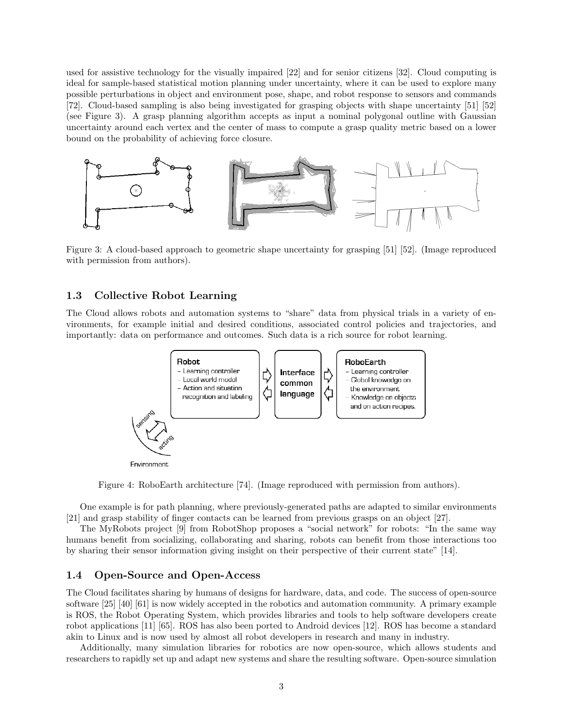used for assistive technology for the visually impaired [22] and for senior citizens [32]. Cloud computing is ideal for sample-based statistical motion planning under uncertainty, where it can be used to explore many possible perturbations in object and environment pose, shape, and robot response to sensors and commands [72]. Cloud-based sampling is also being investigated for grasping objects with shape uncertainty [51] [52] (see Figure 3). A grasp planning algorithm accepts as input a nominal polygonal outline with Gaussian uncertainty around each vertex and the center of mass to compute a grasp quality metric based on a lower bound on the probability of achieving force closure.



Figure 3: A cloud-based approach to geometric shape uncertainty for grasping [51] [52]. (Image reproduced with permission from authors).

#### 1.3 Collective Robot Learning

The Cloud allows robots and automation systems to "share" data from physical trials in a variety of environments, for example initial and desired conditions, associated control policies and trajectories, and importantly: data on performance and outcomes. Such data is a rich source for robot learning.



Figure 4: RoboEarth architecture [74]. (Image reproduced with permission from authors).

One example is for path planning, where previously-generated paths are adapted to similar environments [21] and grasp stability of finger contacts can be learned from previous grasps on an object [27].

The MyRobots project [9] from RobotShop proposes a "social network" for robots: "In the same way humans benefit from socializing, collaborating and sharing, robots can benefit from those interactions too by sharing their sensor information giving insight on their perspective of their current state" [14].

#### 1.4 Open-Source and Open-Access

The Cloud facilitates sharing by humans of designs for hardware, data, and code. The success of open-source software [25] [40] [61] is now widely accepted in the robotics and automation community. A primary example is ROS, the Robot Operating System, which provides libraries and tools to help software developers create robot applications [11] [65]. ROS has also been ported to Android devices [12]. ROS has become a standard akin to Linux and is now used by almost all robot developers in research and many in industry.

Additionally, many simulation libraries for robotics are now open-source, which allows students and researchers to rapidly set up and adapt new systems and share the resulting software. Open-source simulation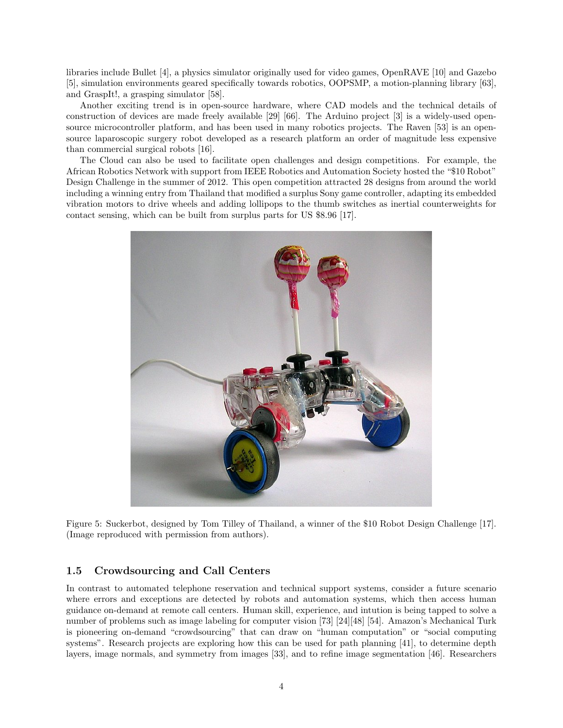libraries include Bullet [4], a physics simulator originally used for video games, OpenRAVE [10] and Gazebo [5], simulation environments geared specifically towards robotics, OOPSMP, a motion-planning library [63], and GraspIt!, a grasping simulator [58].

Another exciting trend is in open-source hardware, where CAD models and the technical details of construction of devices are made freely available [29] [66]. The Arduino project [3] is a widely-used opensource microcontroller platform, and has been used in many robotics projects. The Raven [53] is an opensource laparoscopic surgery robot developed as a research platform an order of magnitude less expensive than commercial surgical robots [16].

The Cloud can also be used to facilitate open challenges and design competitions. For example, the African Robotics Network with support from IEEE Robotics and Automation Society hosted the "\$10 Robot" Design Challenge in the summer of 2012. This open competition attracted 28 designs from around the world including a winning entry from Thailand that modified a surplus Sony game controller, adapting its embedded vibration motors to drive wheels and adding lollipops to the thumb switches as inertial counterweights for contact sensing, which can be built from surplus parts for US \$8.96 [17].



Figure 5: Suckerbot, designed by Tom Tilley of Thailand, a winner of the \$10 Robot Design Challenge [17]. (Image reproduced with permission from authors).

#### 1.5 Crowdsourcing and Call Centers

In contrast to automated telephone reservation and technical support systems, consider a future scenario where errors and exceptions are detected by robots and automation systems, which then access human guidance on-demand at remote call centers. Human skill, experience, and intution is being tapped to solve a number of problems such as image labeling for computer vision [73] [24][48] [54]. Amazon's Mechanical Turk is pioneering on-demand "crowdsourcing" that can draw on "human computation" or "social computing systems". Research projects are exploring how this can be used for path planning [41], to determine depth layers, image normals, and symmetry from images [33], and to refine image segmentation [46]. Researchers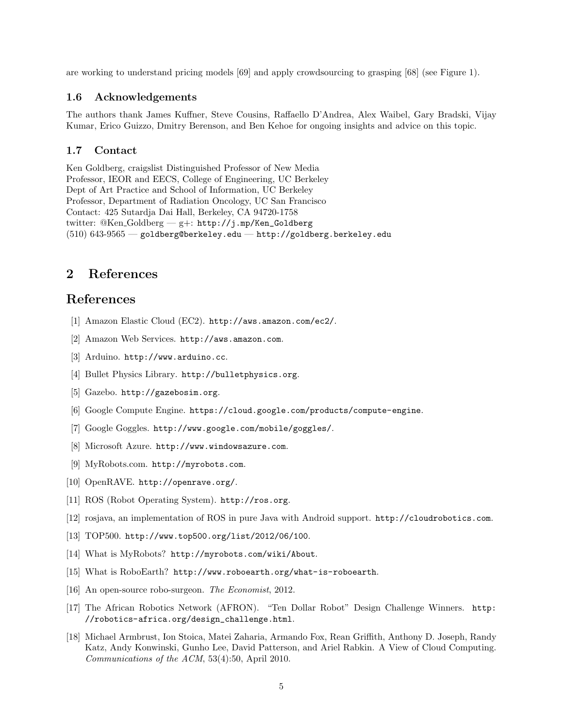are working to understand pricing models [69] and apply crowdsourcing to grasping [68] (see Figure 1).

#### 1.6 Acknowledgements

The authors thank James Kuffner, Steve Cousins, Raffaello D'Andrea, Alex Waibel, Gary Bradski, Vijay Kumar, Erico Guizzo, Dmitry Berenson, and Ben Kehoe for ongoing insights and advice on this topic.

#### 1.7 Contact

Ken Goldberg, craigslist Distinguished Professor of New Media Professor, IEOR and EECS, College of Engineering, UC Berkeley Dept of Art Practice and School of Information, UC Berkeley Professor, Department of Radiation Oncology, UC San Francisco Contact: 425 Sutardja Dai Hall, Berkeley, CA 94720-1758 twitter: @Ken Goldberg — g+: http://j.mp/Ken\_Goldberg (510) 643-9565 — goldberg@berkeley.edu — http://goldberg.berkeley.edu

## 2 References

## References

- [1] Amazon Elastic Cloud (EC2). http://aws.amazon.com/ec2/.
- [2] Amazon Web Services. http://aws.amazon.com.
- [3] Arduino. http://www.arduino.cc.
- [4] Bullet Physics Library. http://bulletphysics.org.
- [5] Gazebo. http://gazebosim.org.
- [6] Google Compute Engine. https://cloud.google.com/products/compute-engine.
- [7] Google Goggles. http://www.google.com/mobile/goggles/.
- [8] Microsoft Azure. http://www.windowsazure.com.
- [9] MyRobots.com. http://myrobots.com.
- [10] OpenRAVE. http://openrave.org/.
- [11] ROS (Robot Operating System). http://ros.org.
- [12] rosjava, an implementation of ROS in pure Java with Android support. http://cloudrobotics.com.
- [13] TOP500. http://www.top500.org/list/2012/06/100.
- [14] What is MyRobots? http://myrobots.com/wiki/About.
- [15] What is RoboEarth? http://www.roboearth.org/what-is-roboearth.
- [16] An open-source robo-surgeon. The Economist, 2012.
- [17] The African Robotics Network (AFRON). "Ten Dollar Robot" Design Challenge Winners. http: //robotics-africa.org/design\_challenge.html.
- [18] Michael Armbrust, Ion Stoica, Matei Zaharia, Armando Fox, Rean Griffith, Anthony D. Joseph, Randy Katz, Andy Konwinski, Gunho Lee, David Patterson, and Ariel Rabkin. A View of Cloud Computing. Communications of the ACM, 53(4):50, April 2010.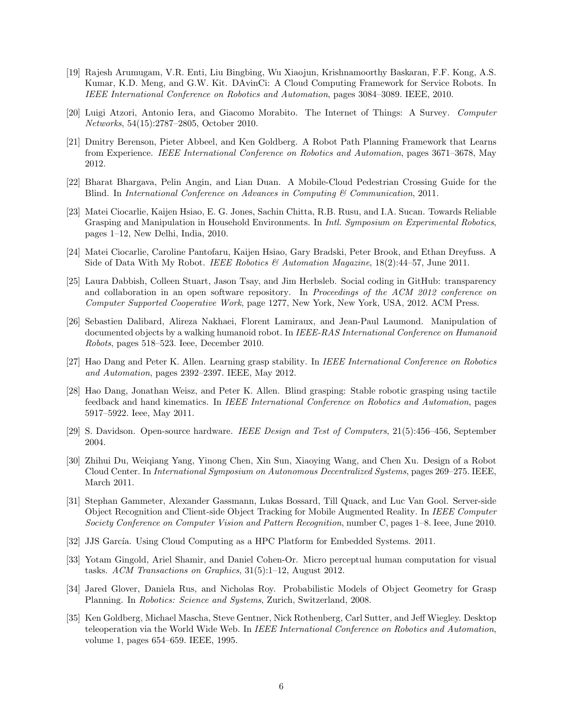- [19] Rajesh Arumugam, V.R. Enti, Liu Bingbing, Wu Xiaojun, Krishnamoorthy Baskaran, F.F. Kong, A.S. Kumar, K.D. Meng, and G.W. Kit. DAvinCi: A Cloud Computing Framework for Service Robots. In IEEE International Conference on Robotics and Automation, pages 3084–3089. IEEE, 2010.
- [20] Luigi Atzori, Antonio Iera, and Giacomo Morabito. The Internet of Things: A Survey. Computer Networks, 54(15):2787–2805, October 2010.
- [21] Dmitry Berenson, Pieter Abbeel, and Ken Goldberg. A Robot Path Planning Framework that Learns from Experience. IEEE International Conference on Robotics and Automation, pages 3671–3678, May 2012.
- [22] Bharat Bhargava, Pelin Angin, and Lian Duan. A Mobile-Cloud Pedestrian Crossing Guide for the Blind. In International Conference on Advances in Computing  $\mathscr$  Communication, 2011.
- [23] Matei Ciocarlie, Kaijen Hsiao, E. G. Jones, Sachin Chitta, R.B. Rusu, and I.A. Sucan. Towards Reliable Grasping and Manipulation in Household Environments. In *Intl. Symposium on Experimental Robotics*, pages 1–12, New Delhi, India, 2010.
- [24] Matei Ciocarlie, Caroline Pantofaru, Kaijen Hsiao, Gary Bradski, Peter Brook, and Ethan Dreyfuss. A Side of Data With My Robot. IEEE Robotics & Automation Magazine,  $18(2):44-57$ , June 2011.
- [25] Laura Dabbish, Colleen Stuart, Jason Tsay, and Jim Herbsleb. Social coding in GitHub: transparency and collaboration in an open software repository. In Proceedings of the ACM 2012 conference on Computer Supported Cooperative Work, page 1277, New York, New York, USA, 2012. ACM Press.
- [26] Sebastien Dalibard, Alireza Nakhaei, Florent Lamiraux, and Jean-Paul Laumond. Manipulation of documented objects by a walking humanoid robot. In IEEE-RAS International Conference on Humanoid Robots, pages 518–523. Ieee, December 2010.
- [27] Hao Dang and Peter K. Allen. Learning grasp stability. In IEEE International Conference on Robotics and Automation, pages 2392–2397. IEEE, May 2012.
- [28] Hao Dang, Jonathan Weisz, and Peter K. Allen. Blind grasping: Stable robotic grasping using tactile feedback and hand kinematics. In IEEE International Conference on Robotics and Automation, pages 5917–5922. Ieee, May 2011.
- [29] S. Davidson. Open-source hardware. IEEE Design and Test of Computers, 21(5):456–456, September 2004.
- [30] Zhihui Du, Weiqiang Yang, Yinong Chen, Xin Sun, Xiaoying Wang, and Chen Xu. Design of a Robot Cloud Center. In International Symposium on Autonomous Decentralized Systems, pages 269–275. IEEE, March 2011.
- [31] Stephan Gammeter, Alexander Gassmann, Lukas Bossard, Till Quack, and Luc Van Gool. Server-side Object Recognition and Client-side Object Tracking for Mobile Augmented Reality. In IEEE Computer Society Conference on Computer Vision and Pattern Recognition, number C, pages 1–8. Ieee, June 2010.
- [32] JJS García. Using Cloud Computing as a HPC Platform for Embedded Systems. 2011.
- [33] Yotam Gingold, Ariel Shamir, and Daniel Cohen-Or. Micro perceptual human computation for visual tasks. ACM Transactions on Graphics, 31(5):1–12, August 2012.
- [34] Jared Glover, Daniela Rus, and Nicholas Roy. Probabilistic Models of Object Geometry for Grasp Planning. In Robotics: Science and Systems, Zurich, Switzerland, 2008.
- [35] Ken Goldberg, Michael Mascha, Steve Gentner, Nick Rothenberg, Carl Sutter, and Jeff Wiegley. Desktop teleoperation via the World Wide Web. In IEEE International Conference on Robotics and Automation, volume 1, pages 654–659. IEEE, 1995.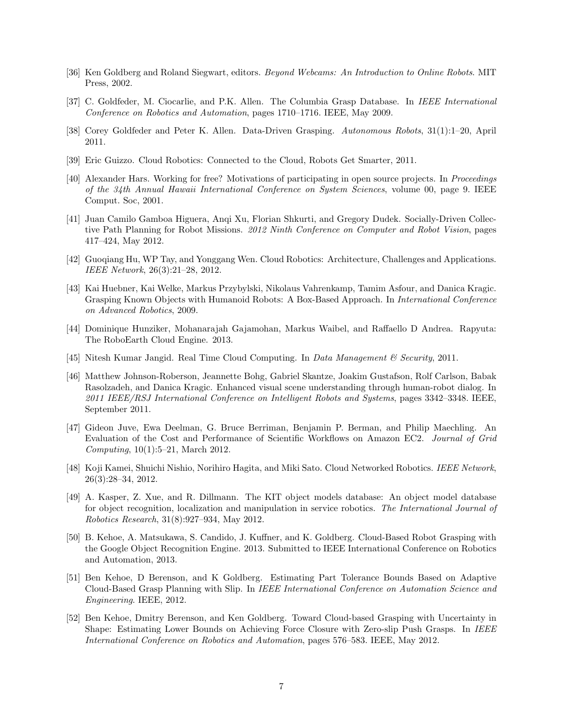- [36] Ken Goldberg and Roland Siegwart, editors. Beyond Webcams: An Introduction to Online Robots. MIT Press, 2002.
- [37] C. Goldfeder, M. Ciocarlie, and P.K. Allen. The Columbia Grasp Database. In IEEE International Conference on Robotics and Automation, pages 1710–1716. IEEE, May 2009.
- [38] Corey Goldfeder and Peter K. Allen. Data-Driven Grasping. Autonomous Robots, 31(1):1–20, April 2011.
- [39] Eric Guizzo. Cloud Robotics: Connected to the Cloud, Robots Get Smarter, 2011.
- [40] Alexander Hars. Working for free? Motivations of participating in open source projects. In Proceedings of the 34th Annual Hawaii International Conference on System Sciences, volume 00, page 9. IEEE Comput. Soc, 2001.
- [41] Juan Camilo Gamboa Higuera, Anqi Xu, Florian Shkurti, and Gregory Dudek. Socially-Driven Collective Path Planning for Robot Missions. 2012 Ninth Conference on Computer and Robot Vision, pages 417–424, May 2012.
- [42] Guoqiang Hu, WP Tay, and Yonggang Wen. Cloud Robotics: Architecture, Challenges and Applications. IEEE Network, 26(3):21–28, 2012.
- [43] Kai Huebner, Kai Welke, Markus Przybylski, Nikolaus Vahrenkamp, Tamim Asfour, and Danica Kragic. Grasping Known Objects with Humanoid Robots: A Box-Based Approach. In International Conference on Advanced Robotics, 2009.
- [44] Dominique Hunziker, Mohanarajah Gajamohan, Markus Waibel, and Raffaello D Andrea. Rapyuta: The RoboEarth Cloud Engine. 2013.
- [45] Nitesh Kumar Jangid. Real Time Cloud Computing. In *Data Management & Security*, 2011.
- [46] Matthew Johnson-Roberson, Jeannette Bohg, Gabriel Skantze, Joakim Gustafson, Rolf Carlson, Babak Rasolzadeh, and Danica Kragic. Enhanced visual scene understanding through human-robot dialog. In 2011 IEEE/RSJ International Conference on Intelligent Robots and Systems, pages 3342–3348. IEEE, September 2011.
- [47] Gideon Juve, Ewa Deelman, G. Bruce Berriman, Benjamin P. Berman, and Philip Maechling. An Evaluation of the Cost and Performance of Scientific Workflows on Amazon EC2. Journal of Grid Computing, 10(1):5–21, March 2012.
- [48] Koji Kamei, Shuichi Nishio, Norihiro Hagita, and Miki Sato. Cloud Networked Robotics. IEEE Network, 26(3):28–34, 2012.
- [49] A. Kasper, Z. Xue, and R. Dillmann. The KIT object models database: An object model database for object recognition, localization and manipulation in service robotics. The International Journal of Robotics Research, 31(8):927–934, May 2012.
- [50] B. Kehoe, A. Matsukawa, S. Candido, J. Kuffner, and K. Goldberg. Cloud-Based Robot Grasping with the Google Object Recognition Engine. 2013. Submitted to IEEE International Conference on Robotics and Automation, 2013.
- [51] Ben Kehoe, D Berenson, and K Goldberg. Estimating Part Tolerance Bounds Based on Adaptive Cloud-Based Grasp Planning with Slip. In IEEE International Conference on Automation Science and Engineering. IEEE, 2012.
- [52] Ben Kehoe, Dmitry Berenson, and Ken Goldberg. Toward Cloud-based Grasping with Uncertainty in Shape: Estimating Lower Bounds on Achieving Force Closure with Zero-slip Push Grasps. In IEEE International Conference on Robotics and Automation, pages 576–583. IEEE, May 2012.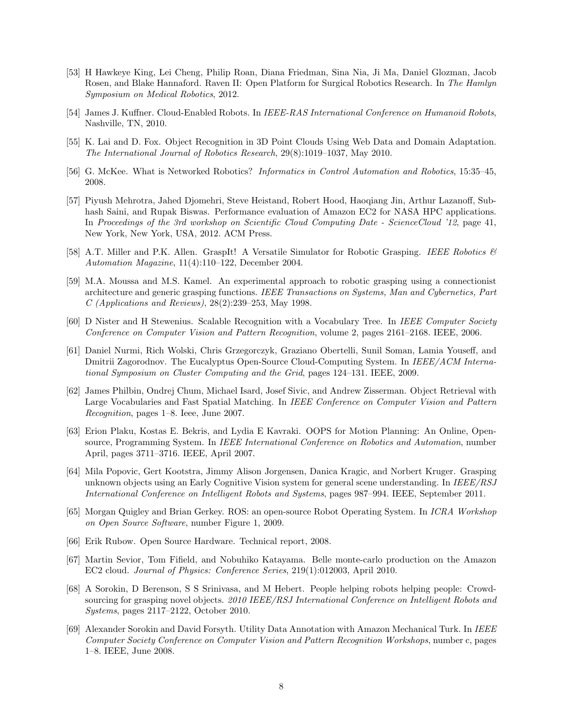- [53] H Hawkeye King, Lei Cheng, Philip Roan, Diana Friedman, Sina Nia, Ji Ma, Daniel Glozman, Jacob Rosen, and Blake Hannaford. Raven II: Open Platform for Surgical Robotics Research. In The Hamlyn Symposium on Medical Robotics, 2012.
- [54] James J. Kuffner. Cloud-Enabled Robots. In IEEE-RAS International Conference on Humanoid Robots, Nashville, TN, 2010.
- [55] K. Lai and D. Fox. Object Recognition in 3D Point Clouds Using Web Data and Domain Adaptation. The International Journal of Robotics Research, 29(8):1019–1037, May 2010.
- [56] G. McKee. What is Networked Robotics? Informatics in Control Automation and Robotics, 15:35–45, 2008.
- [57] Piyush Mehrotra, Jahed Djomehri, Steve Heistand, Robert Hood, Haoqiang Jin, Arthur Lazanoff, Subhash Saini, and Rupak Biswas. Performance evaluation of Amazon EC2 for NASA HPC applications. In Proceedings of the 3rd workshop on Scientific Cloud Computing Date - ScienceCloud '12, page 41, New York, New York, USA, 2012. ACM Press.
- [58] A.T. Miller and P.K. Allen. GraspIt! A Versatile Simulator for Robotic Grasping. IEEE Robotics & Automation Magazine, 11(4):110–122, December 2004.
- [59] M.A. Moussa and M.S. Kamel. An experimental approach to robotic grasping using a connectionist architecture and generic grasping functions. IEEE Transactions on Systems, Man and Cybernetics, Part  $C$  (Applications and Reviews), 28(2):239–253, May 1998.
- [60] D Nister and H Stewenius. Scalable Recognition with a Vocabulary Tree. In IEEE Computer Society Conference on Computer Vision and Pattern Recognition, volume 2, pages 2161–2168. IEEE, 2006.
- [61] Daniel Nurmi, Rich Wolski, Chris Grzegorczyk, Graziano Obertelli, Sunil Soman, Lamia Youseff, and Dmitrii Zagorodnov. The Eucalyptus Open-Source Cloud-Computing System. In IEEE/ACM International Symposium on Cluster Computing and the Grid, pages 124–131. IEEE, 2009.
- [62] James Philbin, Ondrej Chum, Michael Isard, Josef Sivic, and Andrew Zisserman. Object Retrieval with Large Vocabularies and Fast Spatial Matching. In IEEE Conference on Computer Vision and Pattern Recognition, pages 1–8. Ieee, June 2007.
- [63] Erion Plaku, Kostas E. Bekris, and Lydia E Kavraki. OOPS for Motion Planning: An Online, Opensource, Programming System. In IEEE International Conference on Robotics and Automation, number April, pages 3711–3716. IEEE, April 2007.
- [64] Mila Popovic, Gert Kootstra, Jimmy Alison Jorgensen, Danica Kragic, and Norbert Kruger. Grasping unknown objects using an Early Cognitive Vision system for general scene understanding. In IEEE/RSJ International Conference on Intelligent Robots and Systems, pages 987–994. IEEE, September 2011.
- [65] Morgan Quigley and Brian Gerkey. ROS: an open-source Robot Operating System. In ICRA Workshop on Open Source Software, number Figure 1, 2009.
- [66] Erik Rubow. Open Source Hardware. Technical report, 2008.
- [67] Martin Sevior, Tom Fifield, and Nobuhiko Katayama. Belle monte-carlo production on the Amazon EC2 cloud. Journal of Physics: Conference Series, 219(1):012003, April 2010.
- [68] A Sorokin, D Berenson, S S Srinivasa, and M Hebert. People helping robots helping people: Crowdsourcing for grasping novel objects. 2010 IEEE/RSJ International Conference on Intelligent Robots and Systems, pages 2117–2122, October 2010.
- [69] Alexander Sorokin and David Forsyth. Utility Data Annotation with Amazon Mechanical Turk. In IEEE Computer Society Conference on Computer Vision and Pattern Recognition Workshops, number c, pages 1–8. IEEE, June 2008.